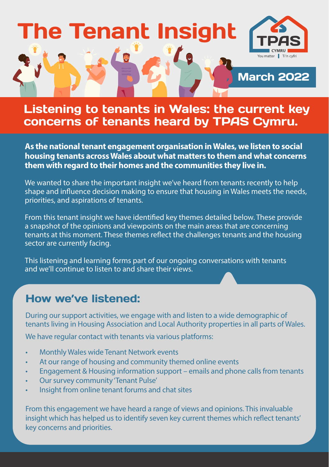

## Listening to tenants in Wales: the current key concerns of tenants heard by TPAS Cymru.

**As the national tenant engagement organisation in Wales, we listen to social housing tenants across Wales about what matters to them and what concerns them with regard to their homes and the communities they live in.** 

We wanted to share the important insight we've heard from tenants recently to help shape and influence decision making to ensure that housing in Wales meets the needs, priorities, and aspirations of tenants.

From this tenant insight we have identified key themes detailed below. These provide a snapshot of the opinions and viewpoints on the main areas that are concerning tenants at this moment. These themes reflect the challenges tenants and the housing sector are currently facing.

This listening and learning forms part of our ongoing conversations with tenants and we'll continue to listen to and share their views.

#### How we've listened:

During our support activities, we engage with and listen to a wide demographic of tenants living in Housing Association and Local Authority properties in all parts of Wales.

We have regular contact with tenants via various platforms:

- Monthly Wales wide Tenant Network events
- At our range of housing and community themed online events
- Engagement & Housing information support emails and phone calls from tenants
- Our survey community 'Tenant Pulse'
- Insight from online tenant forums and chat sites

From this engagement we have heard a range of views and opinions. This invaluable insight which has helped us to identify seven key current themes which reflect tenants' key concerns and priorities.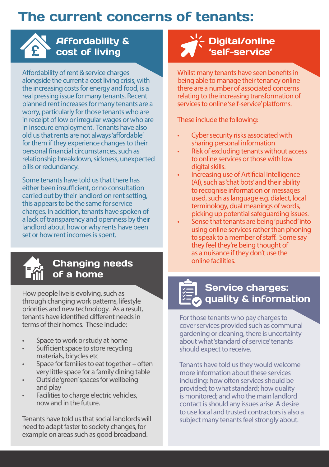# The current concerns of tenants:



### Affordability & cost of living

Affordability of rent & service charges alongside the current a cost living crisis, with the increasing costs for energy and food, is a real pressing issue for many tenants. Recent planned rent increases for many tenants are a worry, particularly for those tenants who are in receipt of low or irregular wages or who are in insecure employment. Tenants have also old us that rents are not always 'affordable' for them if they experience changes to their personal financial circumstances, such as relationship breakdown, sickness, unexpected bills or redundancy.

Some tenants have told us that there has either been insufficient, or no consultation carried out by their landlord on rent setting, this appears to be the same for service charges. In addition, tenants have spoken of a lack of transparency and openness by their landlord about how or why rents have been set or how rent incomes is spent.



#### Changing needs of a home

How people live is evolving, such as through changing work patterns, lifestyle priorities and new technology. As a result, tenants have identified different needs in terms of their homes. These include:

- Space to work or study at home
- Sufficient space to store recycling materials, bicycles etc
- Space for families to eat together often very little space for a family dining table
- Outside 'green' spaces for wellbeing and play
- Facilities to charge electric vehicles. now and in the future.

Tenants have told us that social landlords will need to adapt faster to society changes, for example on areas such as good broadband.

## Digital/online 'self-service'

Whilst many tenants have seen benefits in being able to manage their tenancy online there are a number of associated concerns relating to the increasing transformation of services to online 'self-service' platforms.

These include the following:

- Cyber security risks associated with sharing personal information
- Risk of excluding tenants without access to online services or those with low digital skills.
- Increasing use of Artificial Intelligence (AI), such as 'chat bots' and their ability to recognise information or messages used, such as language e.g. dialect, local terminology, dual meanings of words, picking up potential safeguarding issues.
- Sense that tenants are being 'pushed' into using online services rather than phoning to speak to a member of staff. Some say they feel they're being thought of as a nuisance if they don't use the online facilities.

### Service charges: quality & information

For those tenants who pay charges to cover services provided such as communal gardening or cleaning, there is uncertainty about what 'standard of service' tenants should expect to receive.

Tenants have told us they would welcome more information about these services including: how often services should be provided; to what standard; how quality is monitored; and who the main landlord contact is should any issues arise. A desire to use local and trusted contractors is also a subject many tenants feel strongly about.